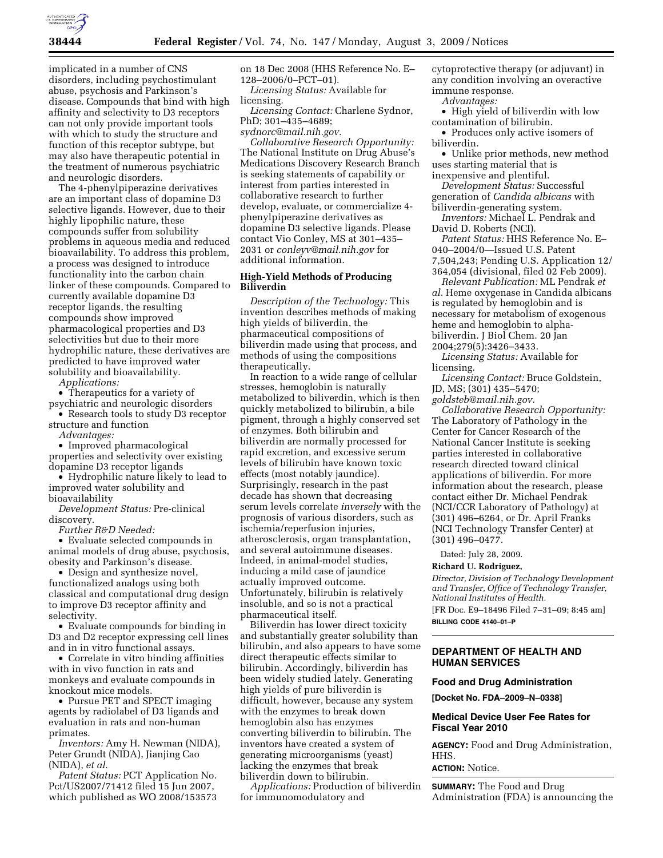

implicated in a number of CNS disorders, including psychostimulant abuse, psychosis and Parkinson's disease. Compounds that bind with high affinity and selectivity to D3 receptors can not only provide important tools with which to study the structure and function of this receptor subtype, but may also have therapeutic potential in the treatment of numerous psychiatric and neurologic disorders.

The 4-phenylpiperazine derivatives are an important class of dopamine D3 selective ligands. However, due to their highly lipophilic nature, these compounds suffer from solubility problems in aqueous media and reduced bioavailability. To address this problem, a process was designed to introduce functionality into the carbon chain linker of these compounds. Compared to currently available dopamine D3 receptor ligands, the resulting compounds show improved pharmacological properties and D3 selectivities but due to their more hydrophilic nature, these derivatives are predicted to have improved water solubility and bioavailability.

*Applications:* 

• Therapeutics for a variety of psychiatric and neurologic disorders

• Research tools to study D3 receptor structure and function

*Advantages:* 

• Improved pharmacological properties and selectivity over existing dopamine D3 receptor ligands

• Hydrophilic nature likely to lead to improved water solubility and bioavailability

*Development Status:* Pre-clinical discovery.

*Further R&D Needed:* 

• Evaluate selected compounds in animal models of drug abuse, psychosis, obesity and Parkinson's disease.

• Design and synthesize novel, functionalized analogs using both classical and computational drug design to improve D3 receptor affinity and selectivity.

• Evaluate compounds for binding in D3 and D2 receptor expressing cell lines and in in vitro functional assays.

• Correlate in vitro binding affinities with in vivo function in rats and monkeys and evaluate compounds in knockout mice models.

• Pursue PET and SPECT imaging agents by radiolabel of D3 ligands and evaluation in rats and non-human primates.

*Inventors:* Amy H. Newman (NIDA), Peter Grundt (NIDA), Jianjing Cao (NIDA), *et al.* 

*Patent Status:* PCT Application No. Pct/US2007/71412 filed 15 Jun 2007, which published as WO 2008/153573 on 18 Dec 2008 (HHS Reference No. E– 128–2006/0–PCT–01).

*Licensing Status:* Available for licensing.

*Licensing Contact:* Charlene Sydnor, PhD; 301–435–4689; *sydnorc@mail.nih.gov.* 

*Collaborative Research Opportunity:*  The National Institute on Drug Abuse's Medications Discovery Research Branch is seeking statements of capability or interest from parties interested in collaborative research to further develop, evaluate, or commercialize 4 phenylpiperazine derivatives as dopamine D3 selective ligands. Please contact Vio Conley, MS at 301–435– 2031 or *conleyv@mail.nih.gov* for additional information.

#### **High-Yield Methods of Producing Biliverdin**

*Description of the Technology:* This invention describes methods of making high yields of biliverdin, the pharmaceutical compositions of biliverdin made using that process, and methods of using the compositions therapeutically.

In reaction to a wide range of cellular stresses, hemoglobin is naturally metabolized to biliverdin, which is then quickly metabolized to bilirubin, a bile pigment, through a highly conserved set of enzymes. Both bilirubin and biliverdin are normally processed for rapid excretion, and excessive serum levels of bilirubin have known toxic effects (most notably jaundice). Surprisingly, research in the past decade has shown that decreasing serum levels correlate *inversely* with the prognosis of various disorders, such as ischemia/reperfusion injuries, atherosclerosis, organ transplantation, and several autoimmune diseases. Indeed, in animal-model studies, inducing a mild case of jaundice actually improved outcome. Unfortunately, bilirubin is relatively insoluble, and so is not a practical pharmaceutical itself.

Biliverdin has lower direct toxicity and substantially greater solubility than bilirubin, and also appears to have some direct therapeutic effects similar to bilirubin. Accordingly, biliverdin has been widely studied lately. Generating high yields of pure biliverdin is difficult, however, because any system with the enzymes to break down hemoglobin also has enzymes converting biliverdin to bilirubin. The inventors have created a system of generating microorganisms (yeast) lacking the enzymes that break biliverdin down to bilirubin.

*Applications:* Production of biliverdin for immunomodulatory and

cytoprotective therapy (or adjuvant) in any condition involving an overactive immune response.

*Advantages:* 

• High yield of biliverdin with low contamination of bilirubin.

• Produces only active isomers of biliverdin.

• Unlike prior methods, new method uses starting material that is inexpensive and plentiful.

*Development Status:* Successful generation of *Candida albicans* with biliverdin-generating system.

*Inventors:* Michael L. Pendrak and David D. Roberts (NCI).

*Patent Status:* HHS Reference No. E– 040–2004/0—Issued U.S. Patent

7,504,243; Pending U.S. Application 12/ 364,054 (divisional, filed 02 Feb 2009).

*Relevant Publication:* ML Pendrak *et al.* Heme oxygenase in Candida albicans is regulated by hemoglobin and is necessary for metabolism of exogenous heme and hemoglobin to alphabiliverdin. J Biol Chem. 20 Jan 2004;279(5):3426–3433.

*Licensing Status:* Available for licensing.

*Licensing Contact:* Bruce Goldstein, JD, MS; (301) 435–5470;

*goldsteb@mail.nih.gov.* 

*Collaborative Research Opportunity:*  The Laboratory of Pathology in the Center for Cancer Research of the National Cancer Institute is seeking parties interested in collaborative research directed toward clinical applications of biliverdin. For more information about the research, please contact either Dr. Michael Pendrak (NCI/CCR Laboratory of Pathology) at (301) 496–6264, or Dr. April Franks (NCI Technology Transfer Center) at (301) 496–0477.

Dated: July 28, 2009.

## **Richard U. Rodriguez,**

*Director, Division of Technology Development and Transfer, Office of Technology Transfer, National Institutes of Health.*  [FR Doc. E9–18496 Filed 7–31–09; 8:45 am]

**BILLING CODE 4140–01–P** 

### **DEPARTMENT OF HEALTH AND HUMAN SERVICES**

#### **Food and Drug Administration**

**[Docket No. FDA–2009–N–0338]** 

#### **Medical Device User Fee Rates for Fiscal Year 2010**

**AGENCY:** Food and Drug Administration, HHS.

**ACTION:** Notice.

**SUMMARY:** The Food and Drug Administration (FDA) is announcing the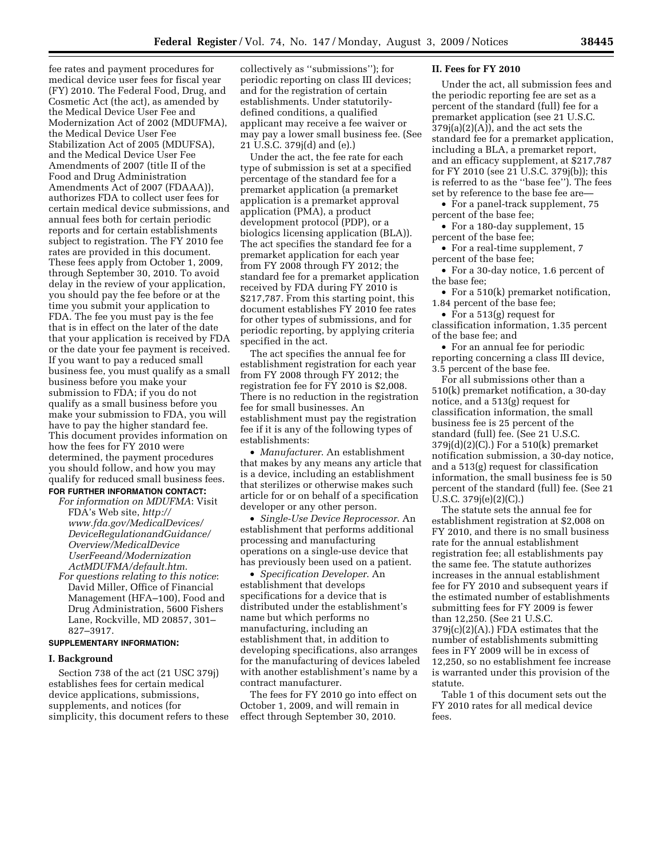fee rates and payment procedures for medical device user fees for fiscal year (FY) 2010. The Federal Food, Drug, and Cosmetic Act (the act), as amended by the Medical Device User Fee and Modernization Act of 2002 (MDUFMA), the Medical Device User Fee Stabilization Act of 2005 (MDUFSA), and the Medical Device User Fee Amendments of 2007 (title II of the Food and Drug Administration Amendments Act of 2007 (FDAAA)), authorizes FDA to collect user fees for certain medical device submissions, and annual fees both for certain periodic reports and for certain establishments subject to registration. The FY 2010 fee rates are provided in this document. These fees apply from October 1, 2009, through September 30, 2010. To avoid delay in the review of your application, you should pay the fee before or at the time you submit your application to FDA. The fee you must pay is the fee that is in effect on the later of the date that your application is received by FDA or the date your fee payment is received. If you want to pay a reduced small business fee, you must qualify as a small business before you make your submission to FDA; if you do not qualify as a small business before you make your submission to FDA, you will have to pay the higher standard fee. This document provides information on how the fees for FY 2010 were determined, the payment procedures you should follow, and how you may qualify for reduced small business fees.

# **FOR FURTHER INFORMATION CONTACT:**

- *For information on MDUFMA*: Visit FDA's Web site, *http:// www.fda.gov/MedicalDevices/ DeviceRegulationandGuidance/ Overview/MedicalDevice UserFeeand/Modernization ActMDUFMA/default.htm*.
- *For questions relating to this notice*: David Miller, Office of Financial Management (HFA–100), Food and Drug Administration, 5600 Fishers Lane, Rockville, MD 20857, 301– 827–3917.

#### **SUPPLEMENTARY INFORMATION:**

#### **I. Background**

Section 738 of the act (21 USC 379j) establishes fees for certain medical device applications, submissions, supplements, and notices (for simplicity, this document refers to these

collectively as ''submissions''); for periodic reporting on class III devices; and for the registration of certain establishments. Under statutorilydefined conditions, a qualified applicant may receive a fee waiver or may pay a lower small business fee. (See 21 U.S.C. 379j(d) and (e).)

Under the act, the fee rate for each type of submission is set at a specified percentage of the standard fee for a premarket application (a premarket application is a premarket approval application (PMA), a product development protocol (PDP), or a biologics licensing application (BLA)). The act specifies the standard fee for a premarket application for each year from FY 2008 through FY 2012; the standard fee for a premarket application received by FDA during FY 2010 is \$217,787. From this starting point, this document establishes FY 2010 fee rates for other types of submissions, and for periodic reporting, by applying criteria specified in the act.

The act specifies the annual fee for establishment registration for each year from FY 2008 through FY 2012; the registration fee for FY 2010 is \$2,008. There is no reduction in the registration fee for small businesses. An establishment must pay the registration fee if it is any of the following types of establishments:

• *Manufacturer*. An establishment that makes by any means any article that is a device, including an establishment that sterilizes or otherwise makes such article for or on behalf of a specification developer or any other person.

• *Single-Use Device Reprocessor*. An establishment that performs additional processing and manufacturing operations on a single-use device that has previously been used on a patient.

• *Specification Developer*. An establishment that develops specifications for a device that is distributed under the establishment's name but which performs no manufacturing, including an establishment that, in addition to developing specifications, also arranges for the manufacturing of devices labeled with another establishment's name by a contract manufacturer.

The fees for FY 2010 go into effect on October 1, 2009, and will remain in effect through September 30, 2010.

#### **II. Fees for FY 2010**

Under the act, all submission fees and the periodic reporting fee are set as a percent of the standard (full) fee for a premarket application (see 21 U.S.C.  $379j(a)(2)(A)$ , and the act sets the standard fee for a premarket application, including a BLA, a premarket report, and an efficacy supplement, at \$217,787 for FY 2010 (see 21 U.S.C. 379j(b)); this is referred to as the ''base fee''). The fees set by reference to the base fee are—

• For a panel-track supplement, 75 percent of the base fee;

• For a 180-day supplement, 15 percent of the base fee;

• For a real-time supplement, 7 percent of the base fee;

• For a 30-day notice, 1.6 percent of the base fee;

• For a 510(k) premarket notification, 1.84 percent of the base fee;

• For a 513(g) request for

classification information, 1.35 percent of the base fee; and

• For an annual fee for periodic reporting concerning a class III device, 3.5 percent of the base fee.

For all submissions other than a 510(k) premarket notification, a 30-day notice, and a 513(g) request for classification information, the small business fee is 25 percent of the standard (full) fee. (See 21 U.S.C. 379j(d)(2)(C).) For a 510(k) premarket notification submission, a 30-day notice, and a 513(g) request for classification information, the small business fee is 50 percent of the standard (full) fee. (See 21 U.S.C. 379j(e)(2)(C).)

The statute sets the annual fee for establishment registration at \$2,008 on FY 2010, and there is no small business rate for the annual establishment registration fee; all establishments pay the same fee. The statute authorizes increases in the annual establishment fee for FY 2010 and subsequent years if the estimated number of establishments submitting fees for FY 2009 is fewer than 12,250. (See 21 U.S.C. 379j(c)(2)(A).) FDA estimates that the number of establishments submitting fees in FY 2009 will be in excess of 12,250, so no establishment fee increase is warranted under this provision of the statute.

Table 1 of this document sets out the FY 2010 rates for all medical device fees.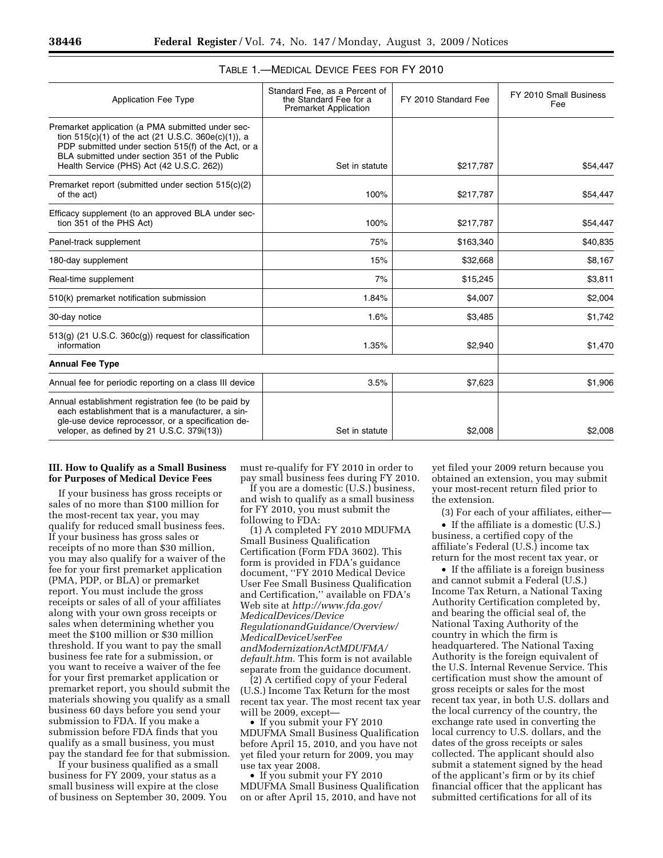| <b>Application Fee Type</b>                                                                                                                                                                                                                                     | Standard Fee, as a Percent of<br>the Standard Fee for a<br>Premarket Application | FY 2010 Standard Fee | FY 2010 Small Business<br>Fee |
|-----------------------------------------------------------------------------------------------------------------------------------------------------------------------------------------------------------------------------------------------------------------|----------------------------------------------------------------------------------|----------------------|-------------------------------|
| Premarket application (a PMA submitted under sec-<br>tion $515(c)(1)$ of the act (21 U.S.C. 360e(c)(1)), a<br>PDP submitted under section 515(f) of the Act, or a<br>BLA submitted under section 351 of the Public<br>Health Service (PHS) Act (42 U.S.C. 262)) | Set in statute                                                                   | \$217,787            | \$54,447                      |
| Premarket report (submitted under section 515(c)(2)<br>of the act)                                                                                                                                                                                              | 100%                                                                             | \$217,787            | \$54,447                      |
| Efficacy supplement (to an approved BLA under sec-<br>tion 351 of the PHS Act)                                                                                                                                                                                  | 100%                                                                             | \$217,787            | \$54,447                      |
| Panel-track supplement                                                                                                                                                                                                                                          | 75%                                                                              | \$163,340            | \$40,835                      |
| 180-day supplement                                                                                                                                                                                                                                              | 15%                                                                              | \$32,668             | \$8,167                       |
| Real-time supplement                                                                                                                                                                                                                                            | 7%                                                                               | \$15,245             | \$3,811                       |
| 510(k) premarket notification submission                                                                                                                                                                                                                        | 1.84%                                                                            | \$4,007              | \$2,004                       |
| 30-day notice                                                                                                                                                                                                                                                   | 1.6%                                                                             | \$3,485              | \$1,742                       |
| $513(g)$ (21 U.S.C. $360c(g)$ ) request for classification<br>information                                                                                                                                                                                       | 1.35%                                                                            | \$2,940              | \$1,470                       |
| <b>Annual Fee Type</b>                                                                                                                                                                                                                                          |                                                                                  |                      |                               |
| Annual fee for periodic reporting on a class III device                                                                                                                                                                                                         | 3.5%                                                                             | \$7,623              | \$1,906                       |
| Annual establishment registration fee (to be paid by<br>each establishment that is a manufacturer, a sin-<br>gle-use device reprocessor, or a specification de-<br>veloper, as defined by 21 U.S.C. 379i(13))                                                   | Set in statute                                                                   | \$2,008              | \$2,008                       |

## TABLE 1.—MEDICAL DEVICE FEES FOR FY 2010

### **III. How to Qualify as a Small Business for Purposes of Medical Device Fees**

If your business has gross receipts or sales of no more than \$100 million for the most-recent tax year, you may qualify for reduced small business fees. If your business has gross sales or receipts of no more than \$30 million, you may also qualify for a waiver of the fee for your first premarket application (PMA, PDP, or BLA) or premarket report. You must include the gross receipts or sales of all of your affiliates along with your own gross receipts or sales when determining whether you meet the \$100 million or \$30 million threshold. If you want to pay the small business fee rate for a submission, or you want to receive a waiver of the fee for your first premarket application or premarket report, you should submit the materials showing you qualify as a small business 60 days before you send your submission to FDA. If you make a submission before FDA finds that you qualify as a small business, you must pay the standard fee for that submission.

If your business qualified as a small business for FY 2009, your status as a small business will expire at the close of business on September 30, 2009. You must re-qualify for FY 2010 in order to pay small business fees during FY 2010.

If you are a domestic (U.S.) business, and wish to qualify as a small business for FY 2010, you must submit the following to FDA:

(1) A completed FY 2010 MDUFMA Small Business Qualification Certification (Form FDA 3602). This form is provided in FDA's guidance document, ''FY 2010 Medical Device User Fee Small Business Qualification and Certification,'' available on FDA's Web site at *http://www.fda.gov/ MedicalDevices/Device RegulationandGuidance/Overview/ MedicalDeviceUserFee andModernizationActMDUFMA/ default.htm.* This form is not available separate from the guidance document.

(2) A certified copy of your Federal (U.S.) Income Tax Return for the most recent tax year. The most recent tax year will be 2009, except—

• If you submit your FY 2010 MDUFMA Small Business Qualification before April 15, 2010, and you have not yet filed your return for 2009, you may use tax year 2008.

• If you submit your FY 2010 MDUFMA Small Business Qualification on or after April 15, 2010, and have not

yet filed your 2009 return because you obtained an extension, you may submit your most-recent return filed prior to the extension.

(3) For each of your affiliates, either—

• If the affiliate is a domestic (U.S.) business, a certified copy of the affiliate's Federal (U.S.) income tax return for the most recent tax year, or

• If the affiliate is a foreign business and cannot submit a Federal (U.S.) Income Tax Return, a National Taxing Authority Certification completed by, and bearing the official seal of, the National Taxing Authority of the country in which the firm is headquartered. The National Taxing Authority is the foreign equivalent of the U.S. Internal Revenue Service. This certification must show the amount of gross receipts or sales for the most recent tax year, in both U.S. dollars and the local currency of the country, the exchange rate used in converting the local currency to U.S. dollars, and the dates of the gross receipts or sales collected. The applicant should also submit a statement signed by the head of the applicant's firm or by its chief financial officer that the applicant has submitted certifications for all of its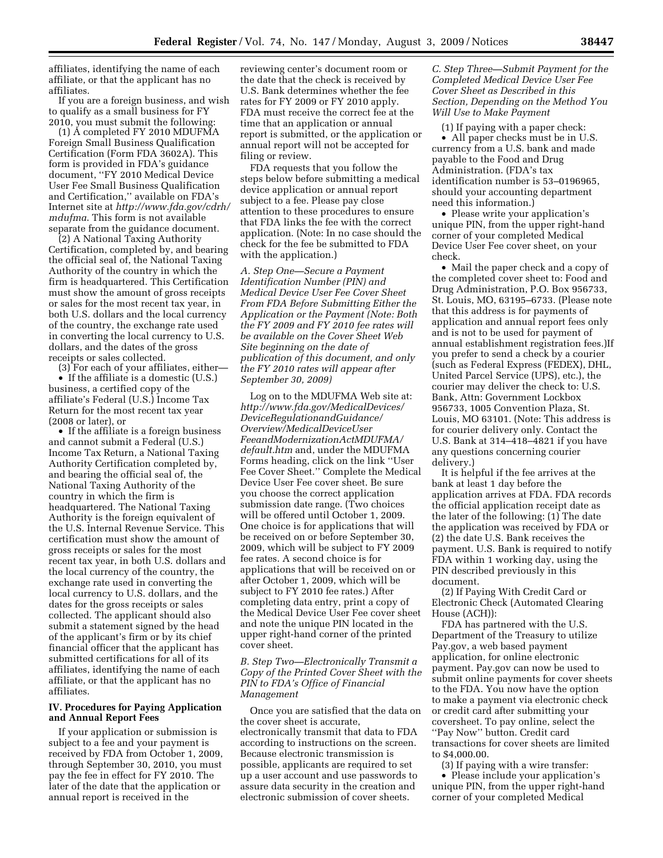affiliates, identifying the name of each affiliate, or that the applicant has no affiliates.

If you are a foreign business, and wish to qualify as a small business for FY 2010, you must submit the following:

(1) A completed FY 2010 MDUFMA Foreign Small Business Qualification Certification (Form FDA 3602A). This form is provided in FDA's guidance document, ''FY 2010 Medical Device User Fee Small Business Qualification and Certification,'' available on FDA's Internet site at *http://www.fda.gov/cdrh/ mdufma*. This form is not available separate from the guidance document.

(2) A National Taxing Authority Certification, completed by, and bearing the official seal of, the National Taxing Authority of the country in which the firm is headquartered. This Certification must show the amount of gross receipts or sales for the most recent tax year, in both U.S. dollars and the local currency of the country, the exchange rate used in converting the local currency to U.S. dollars, and the dates of the gross receipts or sales collected.

(3) For each of your affiliates, either— • If the affiliate is a domestic (U.S.) business, a certified copy of the affiliate's Federal (U.S.) Income Tax Return for the most recent tax year (2008 or later), or

• If the affiliate is a foreign business and cannot submit a Federal (U.S.) Income Tax Return, a National Taxing Authority Certification completed by, and bearing the official seal of, the National Taxing Authority of the country in which the firm is headquartered. The National Taxing Authority is the foreign equivalent of the U.S. Internal Revenue Service. This certification must show the amount of gross receipts or sales for the most recent tax year, in both U.S. dollars and the local currency of the country, the exchange rate used in converting the local currency to U.S. dollars, and the dates for the gross receipts or sales collected. The applicant should also submit a statement signed by the head of the applicant's firm or by its chief financial officer that the applicant has submitted certifications for all of its affiliates, identifying the name of each affiliate, or that the applicant has no affiliates.

## **IV. Procedures for Paying Application and Annual Report Fees**

If your application or submission is subject to a fee and your payment is received by FDA from October 1, 2009, through September 30, 2010, you must pay the fee in effect for FY 2010. The later of the date that the application or annual report is received in the

reviewing center's document room or the date that the check is received by U.S. Bank determines whether the fee rates for FY 2009 or FY 2010 apply. FDA must receive the correct fee at the time that an application or annual report is submitted, or the application or annual report will not be accepted for filing or review.

FDA requests that you follow the steps below before submitting a medical device application or annual report subject to a fee. Please pay close attention to these procedures to ensure that FDA links the fee with the correct application. (Note: In no case should the check for the fee be submitted to FDA with the application.)

*A. Step One—Secure a Payment Identification Number (PIN) and Medical Device User Fee Cover Sheet From FDA Before Submitting Either the Application or the Payment (Note: Both the FY 2009 and FY 2010 fee rates will be available on the Cover Sheet Web Site beginning on the date of publication of this document, and only the FY 2010 rates will appear after September 30, 2009)* 

Log on to the MDUFMA Web site at: *http://www.fda.gov/MedicalDevices/ DeviceRegulationandGuidance/ Overview/MedicalDeviceUser FeeandModernizationActMDUFMA/ default.htm* and, under the MDUFMA Forms heading, click on the link ''User Fee Cover Sheet.'' Complete the Medical Device User Fee cover sheet. Be sure you choose the correct application submission date range. (Two choices will be offered until October 1, 2009. One choice is for applications that will be received on or before September 30, 2009, which will be subject to FY 2009 fee rates. A second choice is for applications that will be received on or after October 1, 2009, which will be subject to FY 2010 fee rates.) After completing data entry, print a copy of the Medical Device User Fee cover sheet and note the unique PIN located in the upper right-hand corner of the printed cover sheet.

*B. Step Two—Electronically Transmit a Copy of the Printed Cover Sheet with the PIN to FDA's Office of Financial Management* 

Once you are satisfied that the data on the cover sheet is accurate, electronically transmit that data to FDA according to instructions on the screen. Because electronic transmission is possible, applicants are required to set up a user account and use passwords to assure data security in the creation and electronic submission of cover sheets.

*C. Step Three—Submit Payment for the Completed Medical Device User Fee Cover Sheet as Described in this Section, Depending on the Method You Will Use to Make Payment* 

(1) If paying with a paper check: • All paper checks must be in U.S. currency from a U.S. bank and made payable to the Food and Drug Administration. (FDA's tax identification number is 53–0196965, should your accounting department need this information.)

• Please write your application's unique PIN, from the upper right-hand corner of your completed Medical Device User Fee cover sheet, on your check.

• Mail the paper check and a copy of the completed cover sheet to: Food and Drug Administration, P.O. Box 956733, St. Louis, MO, 63195–6733. (Please note that this address is for payments of application and annual report fees only and is not to be used for payment of annual establishment registration fees.)If you prefer to send a check by a courier (such as Federal Express (FEDEX), DHL, United Parcel Service (UPS), etc.), the courier may deliver the check to: U.S. Bank, Attn: Government Lockbox 956733, 1005 Convention Plaza, St. Louis, MO 63101. (Note: This address is for courier delivery only. Contact the U.S. Bank at 314–418–4821 if you have any questions concerning courier delivery.)

It is helpful if the fee arrives at the bank at least 1 day before the application arrives at FDA. FDA records the official application receipt date as the later of the following: (1) The date the application was received by FDA or (2) the date U.S. Bank receives the payment. U.S. Bank is required to notify FDA within 1 working day, using the PIN described previously in this document.

(2) If Paying With Credit Card or Electronic Check (Automated Clearing House (ACH)):

FDA has partnered with the U.S. Department of the Treasury to utilize Pay.gov, a web based payment application, for online electronic payment. Pay.gov can now be used to submit online payments for cover sheets to the FDA. You now have the option to make a payment via electronic check or credit card after submitting your coversheet. To pay online, select the ''Pay Now'' button. Credit card transactions for cover sheets are limited to \$4,000.00.

(3) If paying with a wire transfer: • Please include your application's unique PIN, from the upper right-hand corner of your completed Medical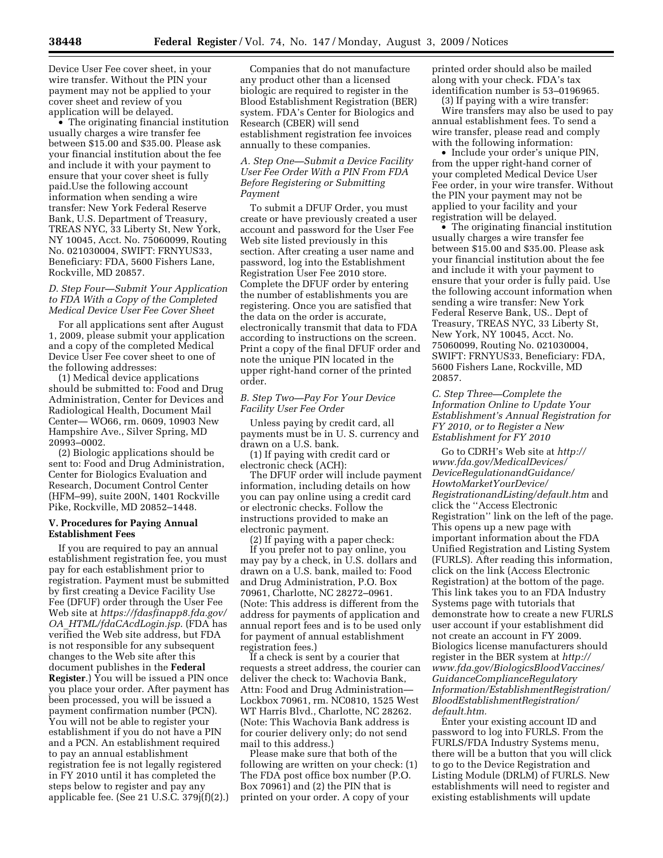Device User Fee cover sheet, in your wire transfer. Without the PIN your payment may not be applied to your cover sheet and review of you application will be delayed.

• The originating financial institution usually charges a wire transfer fee between \$15.00 and \$35.00. Please ask your financial institution about the fee and include it with your payment to ensure that your cover sheet is fully paid.Use the following account information when sending a wire transfer: New York Federal Reserve Bank, U.S. Department of Treasury, TREAS NYC, 33 Liberty St, New York, NY 10045, Acct. No. 75060099, Routing No. 021030004, SWIFT: FRNYUS33, Beneficiary: FDA, 5600 Fishers Lane, Rockville, MD 20857.

### *D. Step Four—Submit Your Application to FDA With a Copy of the Completed Medical Device User Fee Cover Sheet*

For all applications sent after August 1, 2009, please submit your application and a copy of the completed Medical Device User Fee cover sheet to one of the following addresses:

(1) Medical device applications should be submitted to: Food and Drug Administration, Center for Devices and Radiological Health, Document Mail Center— WO66, rm. 0609, 10903 New Hampshire Ave., Silver Spring, MD 20993–0002.

(2) Biologic applications should be sent to: Food and Drug Administration, Center for Biologics Evaluation and Research, Document Control Center (HFM–99), suite 200N, 1401 Rockville Pike, Rockville, MD 20852–1448.

#### **V. Procedures for Paying Annual Establishment Fees**

If you are required to pay an annual establishment registration fee, you must pay for each establishment prior to registration. Payment must be submitted by first creating a Device Facility Use Fee (DFUF) order through the User Fee Web site at *https://fdasfinapp8.fda.gov/ OA*\_*HTML/fdaCAcdLogin.jsp*. (FDA has verified the Web site address, but FDA is not responsible for any subsequent changes to the Web site after this document publishes in the **Federal Register**.) You will be issued a PIN once you place your order. After payment has been processed, you will be issued a payment confirmation number (PCN). You will not be able to register your establishment if you do not have a PIN and a PCN. An establishment required to pay an annual establishment registration fee is not legally registered in FY 2010 until it has completed the steps below to register and pay any applicable fee. (See 21 U.S.C. 379j(f)(2).)

Companies that do not manufacture any product other than a licensed biologic are required to register in the Blood Establishment Registration (BER) system. FDA's Center for Biologics and Research (CBER) will send establishment registration fee invoices annually to these companies.

### *A. Step One—Submit a Device Facility User Fee Order With a PIN From FDA Before Registering or Submitting Payment*

To submit a DFUF Order, you must create or have previously created a user account and password for the User Fee Web site listed previously in this section. After creating a user name and password, log into the Establishment Registration User Fee 2010 store. Complete the DFUF order by entering the number of establishments you are registering. Once you are satisfied that the data on the order is accurate, electronically transmit that data to FDA according to instructions on the screen. Print a copy of the final DFUF order and note the unique PIN located in the upper right-hand corner of the printed order.

## *B. Step Two—Pay For Your Device Facility User Fee Order*

Unless paying by credit card, all payments must be in U. S. currency and drawn on a U.S. bank.

(1) If paying with credit card or electronic check (ACH):

The DFUF order will include payment information, including details on how you can pay online using a credit card or electronic checks. Follow the instructions provided to make an electronic payment.

(2) If paying with a paper check: If you prefer not to pay online, you may pay by a check, in U.S. dollars and drawn on a U.S. bank, mailed to: Food and Drug Administration, P.O. Box 70961, Charlotte, NC 28272–0961. (Note: This address is different from the address for payments of application and annual report fees and is to be used only for payment of annual establishment registration fees.)

If a check is sent by a courier that requests a street address, the courier can deliver the check to: Wachovia Bank, Attn: Food and Drug Administration— Lockbox 70961, rm. NC0810, 1525 West WT Harris Blvd., Charlotte, NC 28262. (Note: This Wachovia Bank address is for courier delivery only; do not send mail to this address.)

Please make sure that both of the following are written on your check: (1) The FDA post office box number (P.O. Box 70961) and (2) the PIN that is printed on your order. A copy of your

printed order should also be mailed along with your check. FDA's tax identification number is 53–0196965.

(3) If paying with a wire transfer: Wire transfers may also be used to pay annual establishment fees. To send a wire transfer, please read and comply with the following information:

• Include your order's unique PIN, from the upper right-hand corner of your completed Medical Device User Fee order, in your wire transfer. Without the PIN your payment may not be applied to your facility and your registration will be delayed.

• The originating financial institution usually charges a wire transfer fee between \$15.00 and \$35.00. Please ask your financial institution about the fee and include it with your payment to ensure that your order is fully paid. Use the following account information when sending a wire transfer: New York Federal Reserve Bank, US.. Dept of Treasury, TREAS NYC, 33 Liberty St, New York, NY 10045, Acct. No. 75060099, Routing No. 021030004, SWIFT: FRNYUS33, Beneficiary: FDA, 5600 Fishers Lane, Rockville, MD 20857.

*C. Step Three—Complete the Information Online to Update Your Establishment's Annual Registration for FY 2010, or to Register a New Establishment for FY 2010* 

Go to CDRH's Web site at *http:// www.fda.gov/MedicalDevices/ DeviceRegulationandGuidance/ HowtoMarketYourDevice/ RegistrationandListing/default.htm* and click the ''Access Electronic Registration'' link on the left of the page. This opens up a new page with important information about the FDA Unified Registration and Listing System (FURLS). After reading this information, click on the link (Access Electronic Registration) at the bottom of the page. This link takes you to an FDA Industry Systems page with tutorials that demonstrate how to create a new FURLS user account if your establishment did not create an account in FY 2009. Biologics license manufacturers should register in the BER system at *http:// www.fda.gov/BiologicsBloodVaccines/ GuidanceComplianceRegulatory Information/EstablishmentRegistration/ BloodEstablishmentRegistration/ default.htm.* 

Enter your existing account ID and password to log into FURLS. From the FURLS/FDA Industry Systems menu, there will be a button that you will click to go to the Device Registration and Listing Module (DRLM) of FURLS. New establishments will need to register and existing establishments will update